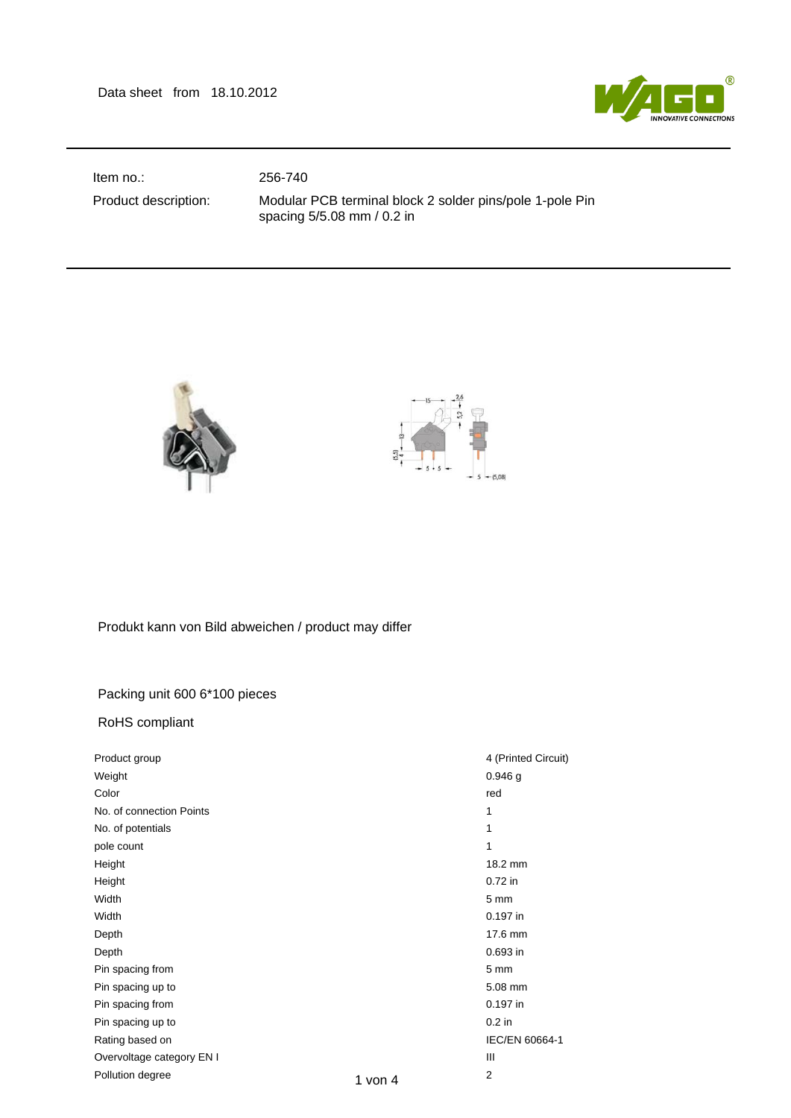Data sheet from 18.10.2012



Item no.: 256-740

Product description: Modular PCB terminal block 2 solder pins/pole 1-pole Pin spacing 5/5.08 mm / 0.2 in



Produkt kann von Bild abweichen / product may differ

## Packing unit 600 6\*100 pieces

RoHS compliant

| Product group             |           | 4 (Printed Circuit) |
|---------------------------|-----------|---------------------|
| Weight                    |           | $0.946$ g           |
| Color                     |           | red                 |
| No. of connection Points  |           | 1                   |
| No. of potentials         |           | 1                   |
| pole count                |           | 1                   |
| Height                    |           | 18.2 mm             |
| Height                    |           | 0.72 in             |
| Width                     |           | 5 <sub>mm</sub>     |
| Width                     |           | 0.197 in            |
| Depth                     |           | 17.6 mm             |
| Depth                     |           | 0.693 in            |
| Pin spacing from          |           | 5 <sub>mm</sub>     |
| Pin spacing up to         |           | 5.08 mm             |
| Pin spacing from          |           | 0.197 in            |
| Pin spacing up to         |           | $0.2$ in            |
| Rating based on           |           | IEC/EN 60664-1      |
| Overvoltage category EN I |           | Ш                   |
| Pollution degree          | 1 von $4$ | 2                   |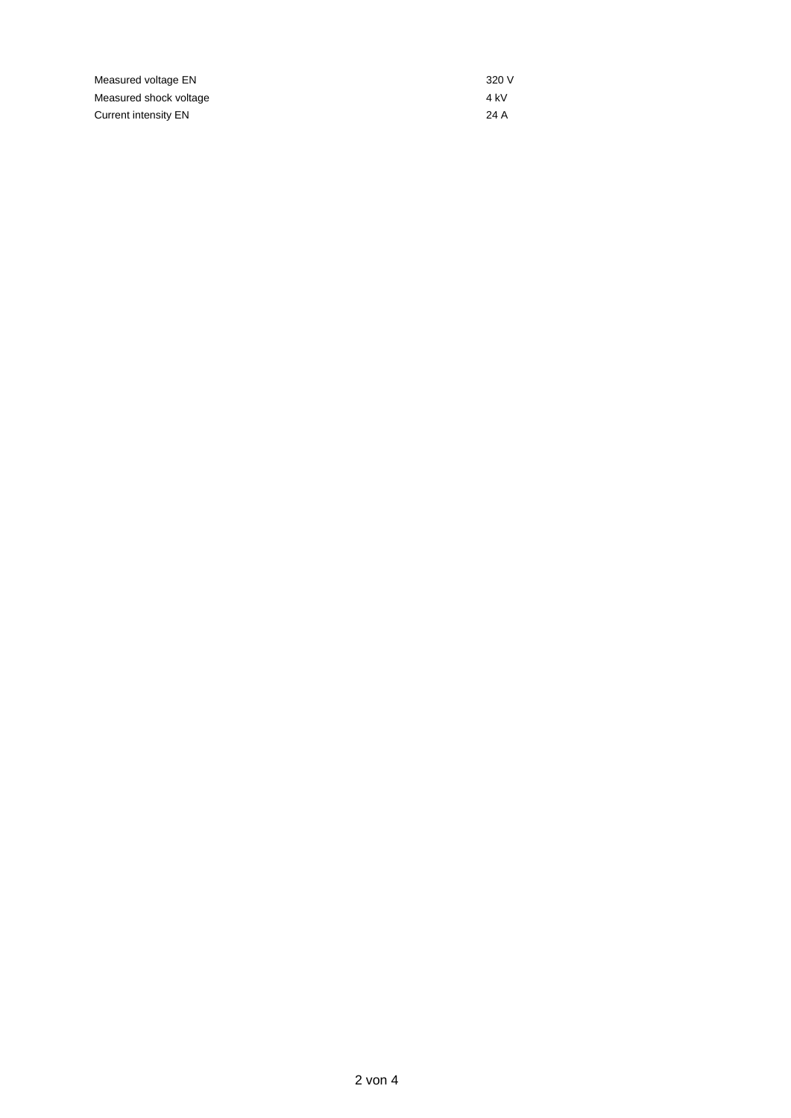| Measured voltage EN    | 320 V |
|------------------------|-------|
| Measured shock voltage | 4 kV  |
| Current intensity EN   | 24 A  |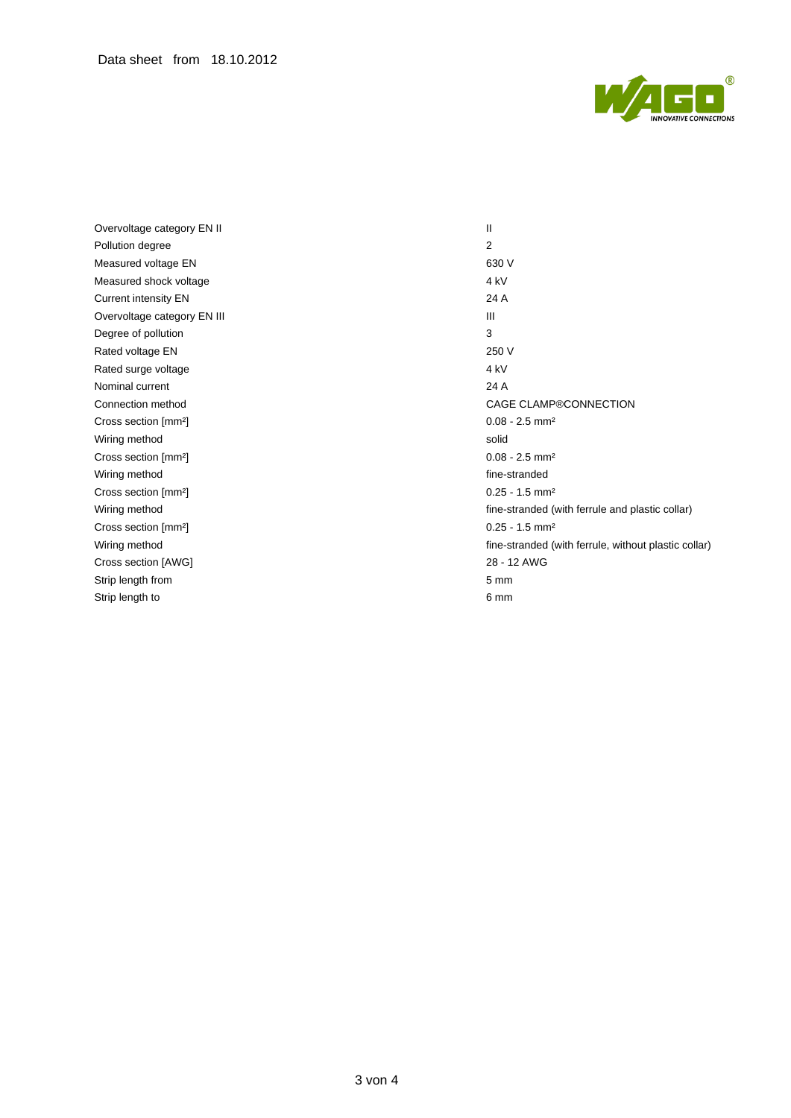

Overvoltage category EN II II Pollution degree 2 Measured voltage EN 630 V Measured shock voltage 4 kV Current intensity EN 24 A Overvoltage category EN III **III** III Degree of pollution 3 Rated voltage EN 250 V Rated surge voltage 4 kV Nominal current 24 A Cross section [mm<sup>2</sup>] 0.08 - 2.5 mm<sup>2</sup> Wiring method solid Cross section [mm²] 0.08 - 2.5 mm² Wiring method fine-stranded fine-stranded Cross section [mm<sup>2</sup>] 0.25 - 1.5 mm<sup>2</sup> Cross section [mm<sup>2</sup>] 0.25 - 1.5 mm<sup>2</sup> Cross section [AWG] 28 - 12 AWG Strip length from 5 mm Strip length to 6 mm

Connection method CAGE CLAMP®CONNECTION Wiring method **fine-stranded (with ferrule and plastic collar) fine-stranded (with ferrule and plastic collar)** Wiring method **fine-stranded** (with ferrule, without plastic collar)